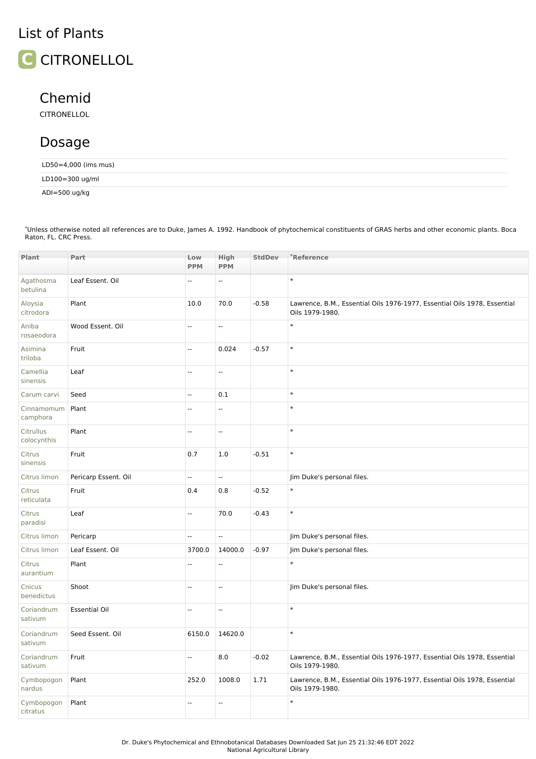## List of Plants



## Chemid

CITRONELLOL

## Dosage

| LD50=4,000 (ims mus) |  |  |  |
|----------------------|--|--|--|
| LD100=300 ug/ml      |  |  |  |
| ADI=500 ug/kg        |  |  |  |

Unless otherwise noted all references are to Duke, James A. 1992. Handbook of phytochemical constituents of GRAS herbs and other economic plants. Boca Raton, FL. CRC Press. \*

| Plant                    | Part                 | Low            | High                     | <b>StdDev</b> | *Reference                                                                                  |
|--------------------------|----------------------|----------------|--------------------------|---------------|---------------------------------------------------------------------------------------------|
|                          |                      | <b>PPM</b>     | <b>PPM</b>               |               |                                                                                             |
| Agathosma<br>betulina    | Leaf Essent. Oil     | Ξ.             | Ξ.                       |               | $\ast$                                                                                      |
| Aloysia<br>citrodora     | Plant                | 10.0           | 70.0                     | $-0.58$       | Lawrence, B.M., Essential Oils 1976-1977, Essential Oils 1978, Essential<br>Oils 1979-1980. |
| Aniba<br>rosaeodora      | Wood Essent. Oil     | цц.            | $\overline{\phantom{a}}$ |               | $\ast$                                                                                      |
| Asimina<br>triloba       | Fruit                | Ξ.             | 0.024                    | $-0.57$       | $\ast$                                                                                      |
| Camellia<br>sinensis     | Leaf                 | Ξ.             | Щ,                       |               | $\ast$                                                                                      |
| Carum carvi              | Seed                 | Ξ.             | $0.1\,$                  |               | $\ast$                                                                                      |
| Cinnamomum<br>camphora   | Plant                | Ξ.             | ÷.                       |               | $\ast$                                                                                      |
| Citrullus<br>colocynthis | Plant                | $\overline{a}$ | ÷.                       |               | $\ast$                                                                                      |
| Citrus<br>sinensis       | Fruit                | 0.7            | 1.0                      | $-0.51$       | $\ast$                                                                                      |
| Citrus limon             | Pericarp Essent. Oil | --             | Ξ.                       |               | Jim Duke's personal files.                                                                  |
| Citrus<br>reticulata     | Fruit                | 0.4            | 0.8                      | $-0.52$       | $\ast$                                                                                      |
| Citrus<br>paradisi       | Leaf                 | Ξ.             | 70.0                     | $-0.43$       | $\ast$                                                                                      |
| Citrus limon             | Pericarp             | Ξ.             | ÷.                       |               | Jim Duke's personal files.                                                                  |
| Citrus limon             | Leaf Essent. Oil     | 3700.0         | 14000.0                  | $-0.97$       | Jim Duke's personal files.                                                                  |
| Citrus<br>aurantium      | Plant                | цц.            | $\sim$ $\sim$            |               | $\ast$                                                                                      |
| Cnicus<br>benedictus     | Shoot                | Ξ.             | Ξ.                       |               | Jim Duke's personal files.                                                                  |
| Coriandrum<br>sativum    | <b>Essential Oil</b> | Ξ.             | u.                       |               | $\ast$                                                                                      |
| Coriandrum<br>sativum    | Seed Essent, Oil     | 6150.0         | 14620.0                  |               | $\ast$                                                                                      |
| Coriandrum<br>sativum    | Fruit                | L.             | 8.0                      | $-0.02$       | Lawrence, B.M., Essential Oils 1976-1977, Essential Oils 1978, Essential<br>Oils 1979-1980. |
| Cymbopogon<br>nardus     | Plant                | 252.0          | 1008.0                   | 1.71          | Lawrence, B.M., Essential Oils 1976-1977, Essential Oils 1978, Essential<br>Oils 1979-1980. |
| Cymbopogon<br>citratus   | Plant                | L.             | $\sim$ $\sim$            |               | $\ast$                                                                                      |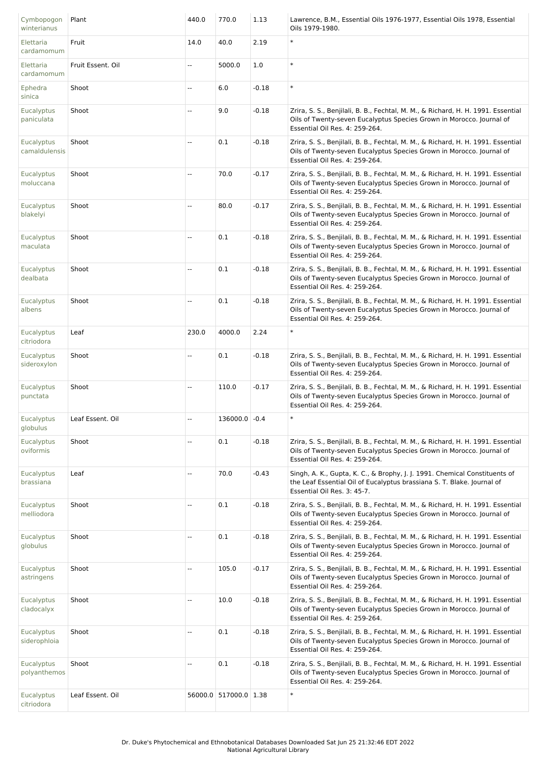| Cymbopogon<br>winterianus       | Plant             | 440.0                    | 770.0                 | 1.13    | Lawrence, B.M., Essential Oils 1976-1977, Essential Oils 1978, Essential<br>Oils 1979-1980.                                                                                                |
|---------------------------------|-------------------|--------------------------|-----------------------|---------|--------------------------------------------------------------------------------------------------------------------------------------------------------------------------------------------|
| Elettaria<br>cardamomum         | Fruit             | 14.0                     | 40.0                  | 2.19    | $\ast$                                                                                                                                                                                     |
| Elettaria<br>cardamomum         | Fruit Essent. Oil | --                       | 5000.0                | 1.0     | $\ast$                                                                                                                                                                                     |
| Ephedra<br>sinica               | Shoot             | Ξ.                       | 6.0                   | $-0.18$ | $\ast$                                                                                                                                                                                     |
| Eucalyptus<br>paniculata        | Shoot             | Ξ.                       | 9.0                   | $-0.18$ | Zrira, S. S., Benjilali, B. B., Fechtal, M. M., & Richard, H. H. 1991. Essential<br>Oils of Twenty-seven Eucalyptus Species Grown in Morocco. Journal of<br>Essential Oil Res. 4: 259-264. |
| Eucalyptus<br>camaldulensis     | Shoot             | u.                       | 0.1                   | $-0.18$ | Zrira, S. S., Benjilali, B. B., Fechtal, M. M., & Richard, H. H. 1991. Essential<br>Oils of Twenty-seven Eucalyptus Species Grown in Morocco. Journal of<br>Essential Oil Res. 4: 259-264. |
| Eucalyptus<br>moluccana         | Shoot             | Ξ.                       | 70.0                  | $-0.17$ | Zrira, S. S., Benjilali, B. B., Fechtal, M. M., & Richard, H. H. 1991. Essential<br>Oils of Twenty-seven Eucalyptus Species Grown in Morocco. Journal of<br>Essential Oil Res. 4: 259-264. |
| Eucalyptus<br>blakelyi          | Shoot             | $\overline{\phantom{a}}$ | 80.0                  | $-0.17$ | Zrira, S. S., Benjilali, B. B., Fechtal, M. M., & Richard, H. H. 1991. Essential<br>Oils of Twenty-seven Eucalyptus Species Grown in Morocco. Journal of<br>Essential Oil Res. 4: 259-264. |
| Eucalyptus<br>maculata          | Shoot             | Ξ.                       | 0.1                   | $-0.18$ | Zrira, S. S., Benjilali, B. B., Fechtal, M. M., & Richard, H. H. 1991. Essential<br>Oils of Twenty-seven Eucalyptus Species Grown in Morocco. Journal of<br>Essential Oil Res. 4: 259-264. |
| <b>Eucalyptus</b><br>dealbata   | Shoot             | Ξ.                       | 0.1                   | $-0.18$ | Zrira, S. S., Benjilali, B. B., Fechtal, M. M., & Richard, H. H. 1991. Essential<br>Oils of Twenty-seven Eucalyptus Species Grown in Morocco. Journal of<br>Essential Oil Res. 4: 259-264. |
| Eucalyptus<br>albens            | Shoot             | $\overline{\phantom{a}}$ | 0.1                   | $-0.18$ | Zrira, S. S., Benjilali, B. B., Fechtal, M. M., & Richard, H. H. 1991. Essential<br>Oils of Twenty-seven Eucalyptus Species Grown in Morocco. Journal of<br>Essential Oil Res. 4: 259-264. |
| Eucalyptus<br>citriodora        | Leaf              | 230.0                    | 4000.0                | 2.24    | $\ast$                                                                                                                                                                                     |
| Eucalyptus<br>sideroxylon       | Shoot             | $\overline{\phantom{a}}$ | 0.1                   | $-0.18$ | Zrira, S. S., Benjilali, B. B., Fechtal, M. M., & Richard, H. H. 1991. Essential<br>Oils of Twenty-seven Eucalyptus Species Grown in Morocco. Journal of<br>Essential Oil Res. 4: 259-264. |
| Eucalyptus<br>punctata          | Shoot             | $\overline{\phantom{a}}$ | 110.0                 | $-0.17$ | Zrira, S. S., Benjilali, B. B., Fechtal, M. M., & Richard, H. H. 1991. Essential<br>Oils of Twenty-seven Eucalyptus Species Grown in Morocco. Journal of<br>Essential Oil Res. 4: 259-264. |
| Eucalyptus<br>globulus          | Leaf Essent. Oil  |                          | 136000.0              | $-0.4$  | $\ast$                                                                                                                                                                                     |
| Eucalyptus<br>oviformis         | Shoot             | $\overline{\phantom{a}}$ | 0.1                   | $-0.18$ | Zrira, S. S., Benjilali, B. B., Fechtal, M. M., & Richard, H. H. 1991. Essential<br>Oils of Twenty-seven Eucalyptus Species Grown in Morocco. Journal of<br>Essential Oil Res. 4: 259-264. |
| <b>Eucalyptus</b><br>brassiana  | Leaf              | $\overline{\phantom{a}}$ | 70.0                  | $-0.43$ | Singh, A. K., Gupta, K. C., & Brophy, J. J. 1991. Chemical Constituents of<br>the Leaf Essential Oil of Eucalyptus brassiana S. T. Blake. Journal of<br>Essential Oil Res. 3: 45-7.        |
| <b>Eucalyptus</b><br>melliodora | Shoot             | u.                       | 0.1                   | $-0.18$ | Zrira, S. S., Benjilali, B. B., Fechtal, M. M., & Richard, H. H. 1991. Essential<br>Oils of Twenty-seven Eucalyptus Species Grown in Morocco. Journal of<br>Essential Oil Res. 4: 259-264. |
| <b>Eucalyptus</b><br>globulus   | Shoot             | Ξ.                       | 0.1                   | $-0.18$ | Zrira, S. S., Benjilali, B. B., Fechtal, M. M., & Richard, H. H. 1991. Essential<br>Oils of Twenty-seven Eucalyptus Species Grown in Morocco. Journal of<br>Essential Oil Res. 4: 259-264. |
| <b>Eucalyptus</b><br>astringens | Shoot             | $\overline{\phantom{a}}$ | 105.0                 | $-0.17$ | Zrira, S. S., Benjilali, B. B., Fechtal, M. M., & Richard, H. H. 1991. Essential<br>Oils of Twenty-seven Eucalyptus Species Grown in Morocco. Journal of<br>Essential Oil Res. 4: 259-264. |
| <b>Eucalyptus</b><br>cladocalyx | Shoot             | $\overline{\phantom{a}}$ | 10.0                  | $-0.18$ | Zrira, S. S., Benjilali, B. B., Fechtal, M. M., & Richard, H. H. 1991. Essential<br>Oils of Twenty-seven Eucalyptus Species Grown in Morocco. Journal of<br>Essential Oil Res. 4: 259-264. |
| Eucalyptus<br>siderophloia      | Shoot             | $\overline{\phantom{a}}$ | 0.1                   | $-0.18$ | Zrira, S. S., Benjilali, B. B., Fechtal, M. M., & Richard, H. H. 1991. Essential<br>Oils of Twenty-seven Eucalyptus Species Grown in Morocco. Journal of<br>Essential Oil Res. 4: 259-264. |
| Eucalyptus<br>polyanthemos      | Shoot             | $\overline{\phantom{a}}$ | 0.1                   | $-0.18$ | Zrira, S. S., Benjilali, B. B., Fechtal, M. M., & Richard, H. H. 1991. Essential<br>Oils of Twenty-seven Eucalyptus Species Grown in Morocco. Journal of<br>Essential Oil Res. 4: 259-264. |
| Eucalyptus<br>citriodora        | Leaf Essent. Oil  |                          | 56000.0 517000.0 1.38 |         | $\ast$                                                                                                                                                                                     |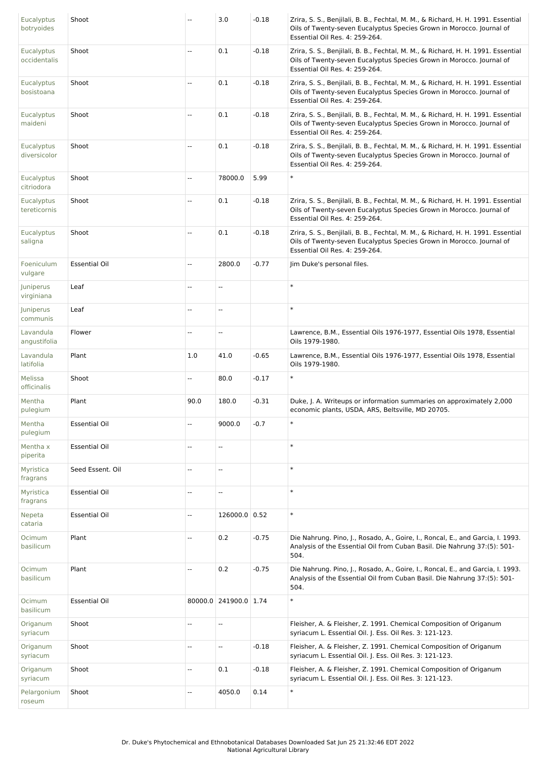| Eucalyptus<br>botryoides        | Shoot                | --   | 3.0                      | $-0.18$ | Zrira, S. S., Benjilali, B. B., Fechtal, M. M., & Richard, H. H. 1991. Essential<br>Oils of Twenty-seven Eucalyptus Species Grown in Morocco. Journal of<br>Essential Oil Res. 4: 259-264. |
|---------------------------------|----------------------|------|--------------------------|---------|--------------------------------------------------------------------------------------------------------------------------------------------------------------------------------------------|
| Eucalyptus<br>occidentalis      | Shoot                | ÷÷   | 0.1                      | $-0.18$ | Zrira, S. S., Benjilali, B. B., Fechtal, M. M., & Richard, H. H. 1991. Essential<br>Oils of Twenty-seven Eucalyptus Species Grown in Morocco. Journal of<br>Essential Oil Res. 4: 259-264. |
| <b>Eucalyptus</b><br>bosistoana | Shoot                | Ξ.   | 0.1                      | $-0.18$ | Zrira, S. S., Benjilali, B. B., Fechtal, M. M., & Richard, H. H. 1991. Essential<br>Oils of Twenty-seven Eucalyptus Species Grown in Morocco. Journal of<br>Essential Oil Res. 4: 259-264. |
| Eucalyptus<br>maideni           | Shoot                | Ξ.   | 0.1                      | $-0.18$ | Zrira, S. S., Benjilali, B. B., Fechtal, M. M., & Richard, H. H. 1991. Essential<br>Oils of Twenty-seven Eucalyptus Species Grown in Morocco. Journal of<br>Essential Oil Res. 4: 259-264. |
| Eucalyptus<br>diversicolor      | Shoot                | --   | 0.1                      | $-0.18$ | Zrira, S. S., Benjilali, B. B., Fechtal, M. M., & Richard, H. H. 1991. Essential<br>Oils of Twenty-seven Eucalyptus Species Grown in Morocco. Journal of<br>Essential Oil Res. 4: 259-264. |
| <b>Eucalyptus</b><br>citriodora | Shoot                | Ξ.   | 78000.0                  | 5.99    | $\ast$                                                                                                                                                                                     |
| Eucalyptus<br>tereticornis      | Shoot                | Ξ.   | 0.1                      | $-0.18$ | Zrira, S. S., Benjilali, B. B., Fechtal, M. M., & Richard, H. H. 1991. Essential<br>Oils of Twenty-seven Eucalyptus Species Grown in Morocco. Journal of<br>Essential Oil Res. 4: 259-264. |
| Eucalyptus<br>saligna           | Shoot                | Ξ.   | 0.1                      | $-0.18$ | Zrira, S. S., Benjilali, B. B., Fechtal, M. M., & Richard, H. H. 1991. Essential<br>Oils of Twenty-seven Eucalyptus Species Grown in Morocco. Journal of<br>Essential Oil Res. 4: 259-264. |
| Foeniculum<br>vulgare           | <b>Essential Oil</b> | Ξ.   | 2800.0                   | $-0.77$ | Jim Duke's personal files.                                                                                                                                                                 |
| Juniperus<br>virginiana         | Leaf                 | Ξ.   | Ξ.                       |         | $\ast$                                                                                                                                                                                     |
| Juniperus<br>communis           | Leaf                 | Ξ.   | Щ,                       |         | $\ast$                                                                                                                                                                                     |
| Lavandula<br>angustifolia       | Flower               | Ξ.   | ÷.                       |         | Lawrence, B.M., Essential Oils 1976-1977, Essential Oils 1978, Essential<br>Oils 1979-1980.                                                                                                |
| Lavandula<br>latifolia          | Plant                | 1.0  | 41.0                     | $-0.65$ | Lawrence, B.M., Essential Oils 1976-1977, Essential Oils 1978, Essential<br>Oils 1979-1980.                                                                                                |
| Melissa<br>officinalis          | Shoot                | --   | 80.0                     | $-0.17$ | $\ast$                                                                                                                                                                                     |
| Mentha<br>pulegium              | Plant                | 90.0 | 180.0                    | $-0.31$ | Duke, J. A. Writeups or information summaries on approximately 2,000<br>economic plants, USDA, ARS, Beltsville, MD 20705.                                                                  |
| Mentha<br>pulegium              | <b>Essential Oil</b> | Ξ.   | 9000.0                   | $-0.7$  | $\ast$                                                                                                                                                                                     |
| Mentha x<br>piperita            | <b>Essential Oil</b> | 44   | $\overline{\phantom{a}}$ |         | $\ast$                                                                                                                                                                                     |
| Myristica<br>fragrans           | Seed Essent. Oil     | --   | $\overline{\phantom{a}}$ |         | $\ast$                                                                                                                                                                                     |
| Myristica<br>fragrans           | <b>Essential Oil</b> | 44   | $\overline{a}$           |         | $\ast$                                                                                                                                                                                     |
| Nepeta<br>cataria               | <b>Essential Oil</b> | --   | 126000.0 0.52            |         | $\ast$                                                                                                                                                                                     |
| Ocimum<br>basilicum             | Plant                | --   | 0.2                      | $-0.75$ | Die Nahrung. Pino, J., Rosado, A., Goire, I., Roncal, E., and Garcia, I. 1993.<br>Analysis of the Essential Oil from Cuban Basil. Die Nahrung 37:(5): 501-<br>504.                         |
| Ocimum<br>basilicum             | Plant                | --   | 0.2                      | $-0.75$ | Die Nahrung. Pino, J., Rosado, A., Goire, I., Roncal, E., and Garcia, I. 1993.<br>Analysis of the Essential Oil from Cuban Basil. Die Nahrung 37:(5): 501-<br>504.                         |
| Ocimum<br>basilicum             | <b>Essential Oil</b> |      | 80000.0 241900.0 1.74    |         | $\ast$                                                                                                                                                                                     |
| Origanum<br>syriacum            | Shoot                | Ξ.   | $\overline{\phantom{a}}$ |         | Fleisher, A. & Fleisher, Z. 1991. Chemical Composition of Origanum<br>syriacum L. Essential Oil. J. Ess. Oil Res. 3: 121-123.                                                              |
| Origanum<br>syriacum            | Shoot                | --   | Ξ.                       | $-0.18$ | Fleisher, A. & Fleisher, Z. 1991. Chemical Composition of Origanum<br>syriacum L. Essential Oil. J. Ess. Oil Res. 3: 121-123.                                                              |
| Origanum<br>syriacum            | Shoot                | --   | 0.1                      | $-0.18$ | Fleisher, A. & Fleisher, Z. 1991. Chemical Composition of Origanum<br>syriacum L. Essential Oil. J. Ess. Oil Res. 3: 121-123.                                                              |
| Pelargonium<br>roseum           | Shoot                | --   | 4050.0                   | 0.14    | $\ast$                                                                                                                                                                                     |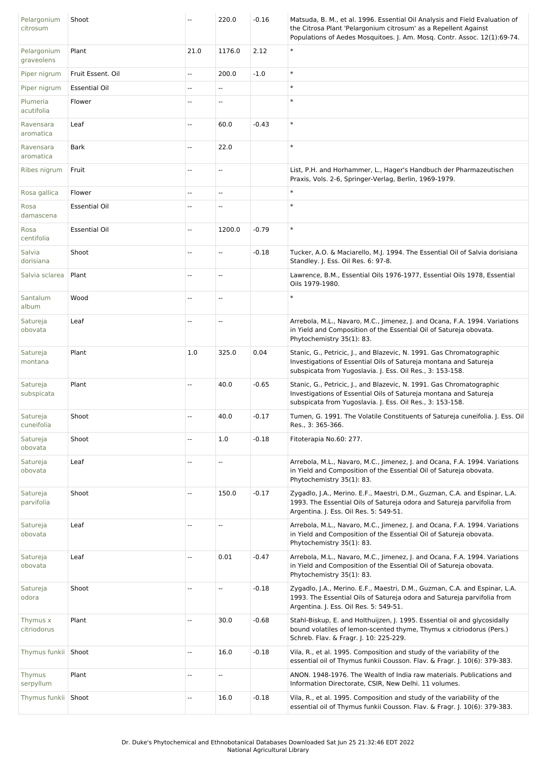| Pelargonium<br>citrosum   | Shoot                | --   | 220.0                    | $-0.16$ | Matsuda, B. M., et al. 1996. Essential Oil Analysis and Field Evaluation of<br>the Citrosa Plant 'Pelargonium citrosum' as a Repellent Against<br>Populations of Aedes Mosquitoes. J. Am. Mosq. Contr. Assoc. 12(1):69-74. |
|---------------------------|----------------------|------|--------------------------|---------|----------------------------------------------------------------------------------------------------------------------------------------------------------------------------------------------------------------------------|
| Pelargonium<br>graveolens | Plant                | 21.0 | 1176.0                   | 2.12    | $\ast$                                                                                                                                                                                                                     |
| Piper nigrum              | Fruit Essent, Oil    | Ξ.   | 200.0                    | $-1.0$  | $\ast$                                                                                                                                                                                                                     |
| Piper nigrum              | <b>Essential Oil</b> | 44   | Ξ.                       |         | $\ast$                                                                                                                                                                                                                     |
| Plumeria<br>acutifolia    | Flower               | --   | $\overline{a}$           |         | $\ast$                                                                                                                                                                                                                     |
| Ravensara<br>aromatica    | Leaf                 | Ξ.   | 60.0                     | $-0.43$ | $\ast$                                                                                                                                                                                                                     |
| Ravensara<br>aromatica    | Bark                 | Ξ.   | 22.0                     |         | $\ast$                                                                                                                                                                                                                     |
| Ribes nigrum              | Fruit                | --   | --                       |         | List, P.H. and Horhammer, L., Hager's Handbuch der Pharmazeutischen<br>Praxis, Vols. 2-6, Springer-Verlag, Berlin, 1969-1979.                                                                                              |
| Rosa gallica              | Flower               | --   | --                       |         | $\ast$                                                                                                                                                                                                                     |
| Rosa<br>damascena         | <b>Essential Oil</b> | --   | Ξ.                       |         | $\ast$                                                                                                                                                                                                                     |
| Rosa<br>centifolia        | <b>Essential Oil</b> | --   | 1200.0                   | $-0.79$ | $\ast$                                                                                                                                                                                                                     |
| Salvia<br>dorisiana       | Shoot                | --   | --                       | $-0.18$ | Tucker, A.O. & Maciarello, M.J. 1994. The Essential Oil of Salvia dorisiana<br>Standley. J. Ess. Oil Res. 6: 97-8.                                                                                                         |
| Salvia sclarea            | Plant                | --   | --                       |         | Lawrence, B.M., Essential Oils 1976-1977, Essential Oils 1978, Essential<br>Oils 1979-1980.                                                                                                                                |
| Santalum<br>album         | Wood                 | --   | $\overline{\phantom{a}}$ |         | $\ast$                                                                                                                                                                                                                     |
| Satureja<br>obovata       | Leaf                 | ۵.   | --                       |         | Arrebola, M.L., Navaro, M.C., Jimenez, J. and Ocana, F.A. 1994. Variations<br>in Yield and Composition of the Essential Oil of Satureja obovata.<br>Phytochemistry 35(1): 83.                                              |
| Satureja<br>montana       | Plant                | 1.0  | 325.0                    | 0.04    | Stanic, G., Petricic, J., and Blazevic, N. 1991. Gas Chromatographic<br>Investigations of Essential Oils of Satureja montana and Satureja<br>subspicata from Yugoslavia. J. Ess. Oil Res., 3: 153-158.                     |
| Satureja<br>subspicata    | Plant                | --   | 40.0                     | $-0.65$ | Stanic, G., Petricic, J., and Blazevic, N. 1991. Gas Chromatographic<br>Investigations of Essential Oils of Satureja montana and Satureja<br>subspicata from Yugoslavia. J. Ess. Oil Res., 3: 153-158.                     |
| Satureja<br>cuneifolia    | Shoot                | --   | 40.0                     | $-0.17$ | Tumen, G. 1991. The Volatile Constituents of Satureja cuneifolia. J. Ess. Oil<br>Res., 3: 365-366.                                                                                                                         |
| Satureja<br>obovata       | Shoot                | Щ,   | 1.0                      | $-0.18$ | Fitoterapia No.60: 277.                                                                                                                                                                                                    |
| Satureja<br>obovata       | Leaf                 | --   | Ξ.                       |         | Arrebola, M.L., Navaro, M.C., Jimenez, J. and Ocana, F.A. 1994. Variations<br>in Yield and Composition of the Essential Oil of Satureja obovata.<br>Phytochemistry 35(1): 83.                                              |
| Satureja<br>parvifolia    | Shoot                | Щ,   | 150.0                    | $-0.17$ | Zygadlo, J.A., Merino. E.F., Maestri, D.M., Guzman, C.A. and Espinar, L.A.<br>1993. The Essential Oils of Satureja odora and Satureja parvifolia from<br>Argentina. J. Ess. Oil Res. 5: 549-51.                            |
| Satureja<br>obovata       | Leaf                 | --   | Ξ.                       |         | Arrebola, M.L., Navaro, M.C., Jimenez, J. and Ocana, F.A. 1994. Variations<br>in Yield and Composition of the Essential Oil of Satureja obovata.<br>Phytochemistry 35(1): 83.                                              |
| Satureja<br>obovata       | Leaf                 | Ξ.   | 0.01                     | $-0.47$ | Arrebola, M.L., Navaro, M.C., Jimenez, J. and Ocana, F.A. 1994. Variations<br>in Yield and Composition of the Essential Oil of Satureja obovata.<br>Phytochemistry 35(1): 83.                                              |
| Satureja<br>odora         | Shoot                | --   | Ξ.                       | $-0.18$ | Zygadlo, J.A., Merino. E.F., Maestri, D.M., Guzman, C.A. and Espinar, L.A.<br>1993. The Essential Oils of Satureja odora and Satureja parvifolia from<br>Argentina. J. Ess. Oil Res. 5: 549-51.                            |
| Thymus x<br>citriodorus   | Plant                | --   | 30.0                     | $-0.68$ | Stahl-Biskup, E. and Holthuijzen, J. 1995. Essential oil and glycosidally<br>bound volatiles of lemon-scented thyme, Thymus x citriodorus (Pers.)<br>Schreb. Flav. & Fragr. J. 10: 225-229.                                |
| Thymus funkii Shoot       |                      | --   | 16.0                     | $-0.18$ | Vila, R., et al. 1995. Composition and study of the variability of the<br>essential oil of Thymus funkii Cousson. Flav. & Fragr. J. 10(6): 379-383.                                                                        |
| Thymus<br>serpyllum       | Plant                | --   | Ξ.                       |         | ANON. 1948-1976. The Wealth of India raw materials. Publications and<br>Information Directorate, CSIR, New Delhi. 11 volumes.                                                                                              |
| Thymus funkii Shoot       |                      | --   | 16.0                     | $-0.18$ | Vila, R., et al. 1995. Composition and study of the variability of the<br>essential oil of Thymus funkii Cousson. Flav. & Fragr. J. 10(6): 379-383.                                                                        |